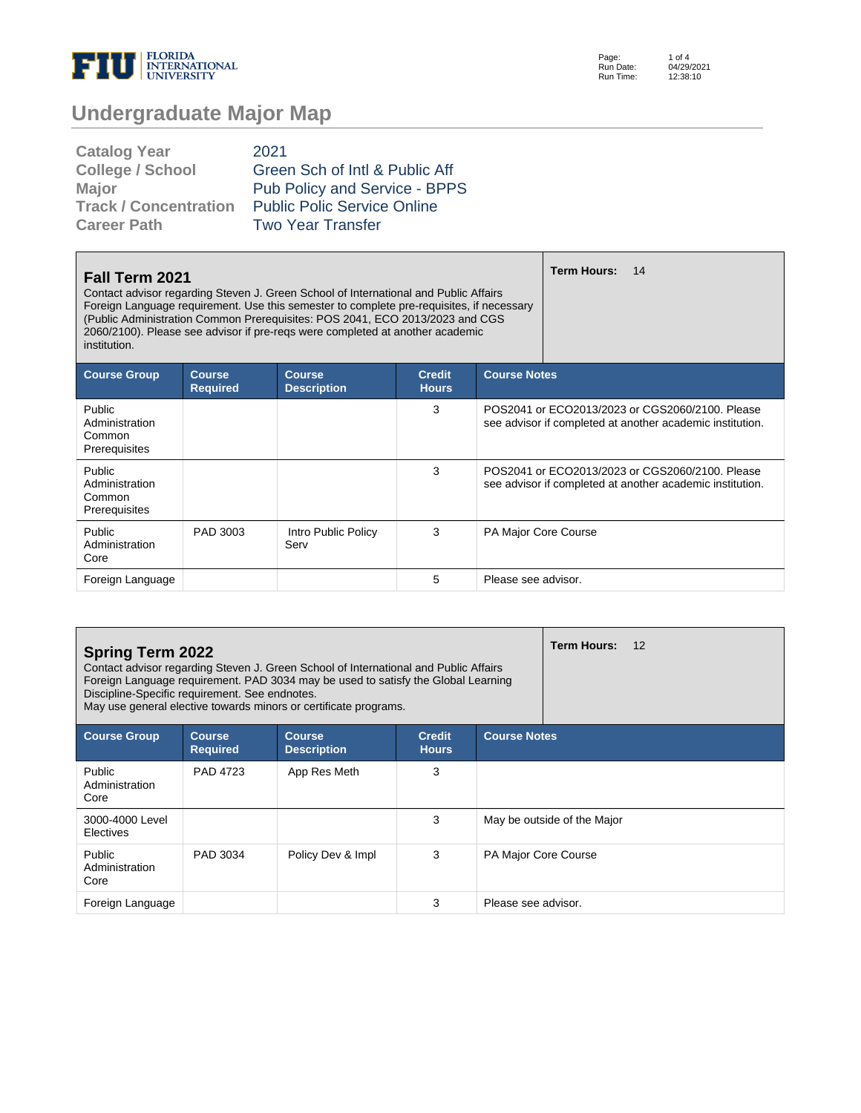

Page: Run Date: Run Time: 1 of 4 04/29/2021 12:38:10

# **Undergraduate Major Map**

| 2021                               |
|------------------------------------|
| Green Sch of Intl & Public Aff     |
| Pub Policy and Service - BPPS      |
| <b>Public Polic Service Online</b> |
| <b>Two Year Transfer</b>           |
|                                    |

| <b>Fall Term 2021</b><br>Contact advisor regarding Steven J. Green School of International and Public Affairs<br>Foreign Language requirement. Use this semester to complete pre-requisites, if necessary<br>(Public Administration Common Prerequisites: POS 2041, ECO 2013/2023 and CGS<br>2060/2100). Please see advisor if pre-regs were completed at another academic<br>institution. |                                  |                                     |                               |                      | <b>Term Hours:</b><br>14                                                                                     |
|--------------------------------------------------------------------------------------------------------------------------------------------------------------------------------------------------------------------------------------------------------------------------------------------------------------------------------------------------------------------------------------------|----------------------------------|-------------------------------------|-------------------------------|----------------------|--------------------------------------------------------------------------------------------------------------|
| <b>Course Group</b>                                                                                                                                                                                                                                                                                                                                                                        | <b>Course</b><br><b>Required</b> | <b>Course</b><br><b>Description</b> | <b>Credit</b><br><b>Hours</b> | <b>Course Notes</b>  |                                                                                                              |
| Public<br>Administration<br>Common<br>Prerequisites                                                                                                                                                                                                                                                                                                                                        |                                  |                                     | 3                             |                      | POS2041 or ECO2013/2023 or CGS2060/2100. Please<br>see advisor if completed at another academic institution. |
| Public<br>Administration<br>Common<br>Prerequisites                                                                                                                                                                                                                                                                                                                                        |                                  |                                     | 3                             |                      | POS2041 or ECO2013/2023 or CGS2060/2100. Please<br>see advisor if completed at another academic institution. |
| Public<br>Administration<br>Core                                                                                                                                                                                                                                                                                                                                                           | PAD 3003                         | Intro Public Policy<br>Serv         | 3                             | PA Major Core Course |                                                                                                              |
| Foreign Language                                                                                                                                                                                                                                                                                                                                                                           |                                  |                                     | 5                             | Please see advisor.  |                                                                                                              |

| <b>Spring Term 2022</b><br>Discipline-Specific requirement. See endnotes. |                                  | Contact advisor regarding Steven J. Green School of International and Public Affairs<br>Foreign Language requirement. PAD 3034 may be used to satisfy the Global Learning<br>May use general elective towards minors or certificate programs. |                               |                      | <b>Term Hours:</b><br>12    |
|---------------------------------------------------------------------------|----------------------------------|-----------------------------------------------------------------------------------------------------------------------------------------------------------------------------------------------------------------------------------------------|-------------------------------|----------------------|-----------------------------|
| <b>Course Group</b>                                                       | <b>Course</b><br><b>Required</b> | <b>Course</b><br><b>Description</b>                                                                                                                                                                                                           | <b>Credit</b><br><b>Hours</b> | <b>Course Notes</b>  |                             |
| Public<br>Administration<br>Core                                          | PAD 4723                         | App Res Meth                                                                                                                                                                                                                                  | 3                             |                      |                             |
| 3000-4000 Level<br><b>Electives</b>                                       |                                  |                                                                                                                                                                                                                                               | 3                             |                      | May be outside of the Major |
| <b>Public</b><br>Administration<br>Core                                   | PAD 3034                         | Policy Dev & Impl                                                                                                                                                                                                                             | 3                             | PA Major Core Course |                             |
| Foreign Language                                                          |                                  |                                                                                                                                                                                                                                               | 3                             | Please see advisor.  |                             |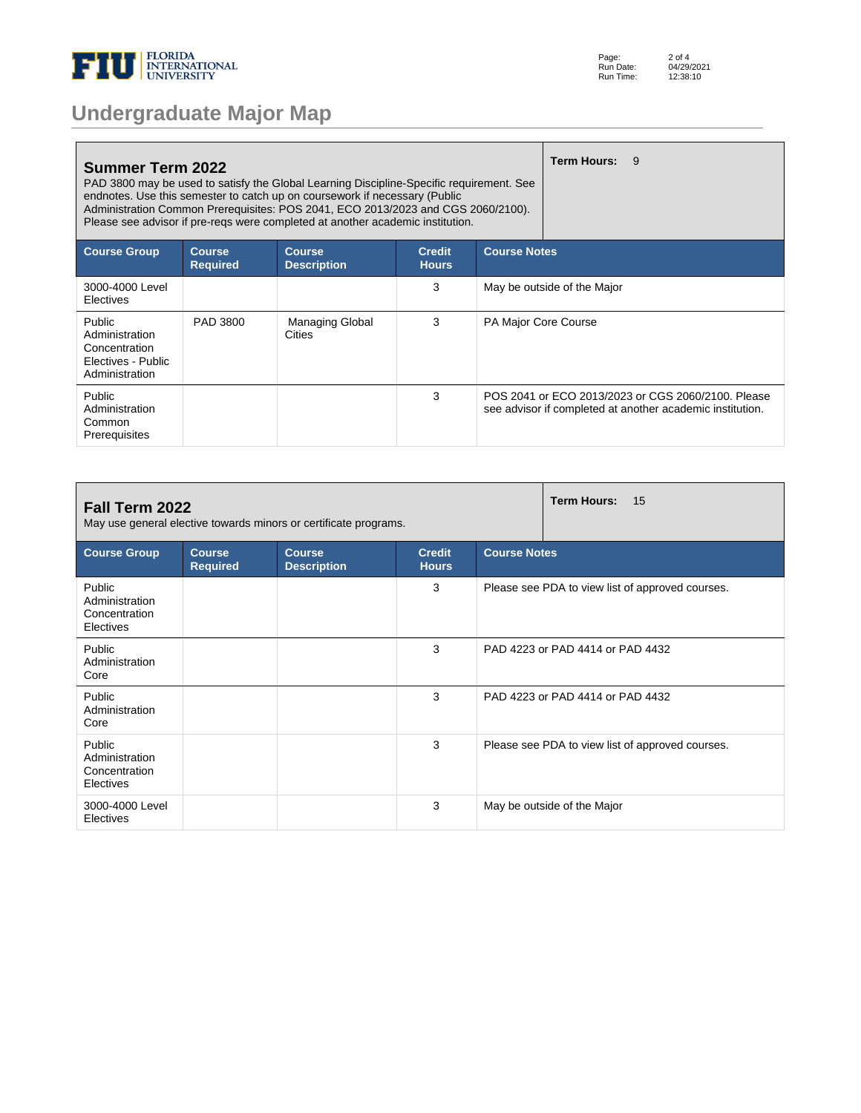

| <b>Undergraduate Major Map</b> |  |  |
|--------------------------------|--|--|
|--------------------------------|--|--|

| <b>Summer Term 2022</b><br>PAD 3800 may be used to satisfy the Global Learning Discipline-Specific requirement. See<br>endnotes. Use this semester to catch up on coursework if necessary (Public<br>Administration Common Prerequisites: POS 2041, ECO 2013/2023 and CGS 2060/2100).<br>Please see advisor if pre-reqs were completed at another academic institution. |                                  |                                     | <b>Term Hours:</b>            | - 9                  |                             |                                                                                                                 |
|-------------------------------------------------------------------------------------------------------------------------------------------------------------------------------------------------------------------------------------------------------------------------------------------------------------------------------------------------------------------------|----------------------------------|-------------------------------------|-------------------------------|----------------------|-----------------------------|-----------------------------------------------------------------------------------------------------------------|
| <b>Course Group</b>                                                                                                                                                                                                                                                                                                                                                     | <b>Course</b><br><b>Required</b> | <b>Course</b><br><b>Description</b> | <b>Credit</b><br><b>Hours</b> | <b>Course Notes</b>  |                             |                                                                                                                 |
| 3000-4000 Level<br>Electives                                                                                                                                                                                                                                                                                                                                            |                                  |                                     | 3                             |                      | May be outside of the Major |                                                                                                                 |
| Public<br>Administration<br>Concentration<br>Electives - Public<br>Administration                                                                                                                                                                                                                                                                                       | PAD 3800                         | <b>Managing Global</b><br>Cities    | 3                             | PA Major Core Course |                             |                                                                                                                 |
| Public<br>Administration<br>Common<br>Prerequisites                                                                                                                                                                                                                                                                                                                     |                                  |                                     | 3                             |                      |                             | POS 2041 or ECO 2013/2023 or CGS 2060/2100. Please<br>see advisor if completed at another academic institution. |

| Fall Term 2022<br>May use general elective towards minors or certificate programs. |                                  | <b>Term Hours:</b><br>15            |                               |                                                  |
|------------------------------------------------------------------------------------|----------------------------------|-------------------------------------|-------------------------------|--------------------------------------------------|
| <b>Course Group</b>                                                                | <b>Course</b><br><b>Required</b> | <b>Course</b><br><b>Description</b> | <b>Credit</b><br><b>Hours</b> | <b>Course Notes</b>                              |
| Public<br>Administration<br>Concentration<br>Electives                             |                                  |                                     | 3                             | Please see PDA to view list of approved courses. |
| Public<br>Administration<br>Core                                                   |                                  |                                     | 3                             | PAD 4223 or PAD 4414 or PAD 4432                 |
| Public<br>Administration<br>Core                                                   |                                  |                                     | 3                             | PAD 4223 or PAD 4414 or PAD 4432                 |
| Public<br>Administration<br>Concentration<br>Electives                             |                                  |                                     | 3                             | Please see PDA to view list of approved courses. |
| 3000-4000 Level<br>Electives                                                       |                                  |                                     | 3                             | May be outside of the Major                      |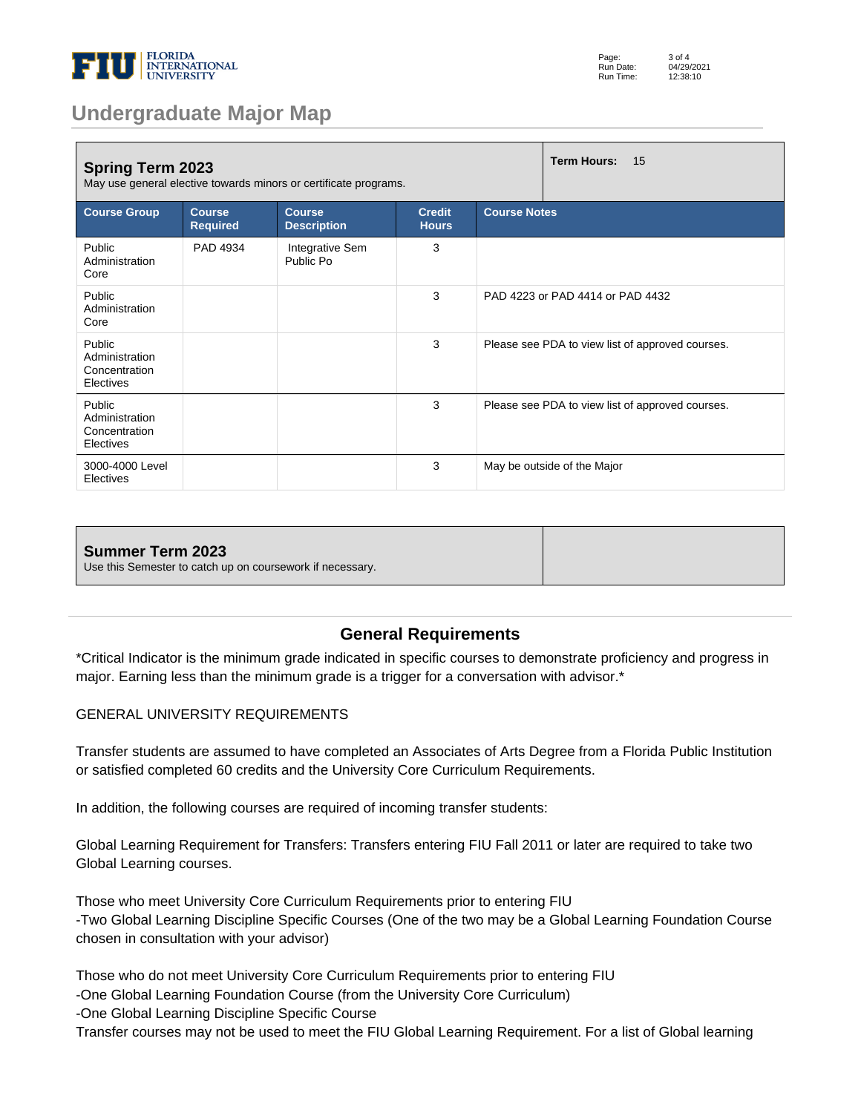

| Page:     | $3$ of $4$ |
|-----------|------------|
| Run Date: | 04/29/2021 |
| Run Time: | 12:38:10   |

## **Undergraduate Major Map**

| <b>Spring Term 2023</b><br>May use general elective towards minors or certificate programs. |                                  | <b>Term Hours:</b><br>15            |                               |                                                  |
|---------------------------------------------------------------------------------------------|----------------------------------|-------------------------------------|-------------------------------|--------------------------------------------------|
| <b>Course Group</b>                                                                         | <b>Course</b><br><b>Required</b> | <b>Course</b><br><b>Description</b> | <b>Credit</b><br><b>Hours</b> | <b>Course Notes</b>                              |
| Public<br>Administration<br>Core                                                            | PAD 4934                         | Integrative Sem<br>Public Po        | 3                             |                                                  |
| Public<br>Administration<br>Core                                                            |                                  |                                     | 3                             | PAD 4223 or PAD 4414 or PAD 4432                 |
| Public<br>Administration<br>Concentration<br>Electives                                      |                                  |                                     | 3                             | Please see PDA to view list of approved courses. |
| Public<br>Administration<br>Concentration<br>Electives                                      |                                  |                                     | 3                             | Please see PDA to view list of approved courses. |
| 3000-4000 Level<br>Electives                                                                |                                  |                                     | 3                             | May be outside of the Major                      |

#### **Summer Term 2023**

Use this Semester to catch up on coursework if necessary.

#### **General Requirements**

\*Critical Indicator is the minimum grade indicated in specific courses to demonstrate proficiency and progress in major. Earning less than the minimum grade is a trigger for a conversation with advisor.\*

#### GENERAL UNIVERSITY REQUIREMENTS

Transfer students are assumed to have completed an Associates of Arts Degree from a Florida Public Institution or satisfied completed 60 credits and the University Core Curriculum Requirements.

In addition, the following courses are required of incoming transfer students:

Global Learning Requirement for Transfers: Transfers entering FIU Fall 2011 or later are required to take two Global Learning courses.

Those who meet University Core Curriculum Requirements prior to entering FIU -Two Global Learning Discipline Specific Courses (One of the two may be a Global Learning Foundation Course chosen in consultation with your advisor)

Those who do not meet University Core Curriculum Requirements prior to entering FIU

-One Global Learning Foundation Course (from the University Core Curriculum)

-One Global Learning Discipline Specific Course

Transfer courses may not be used to meet the FIU Global Learning Requirement. For a list of Global learning